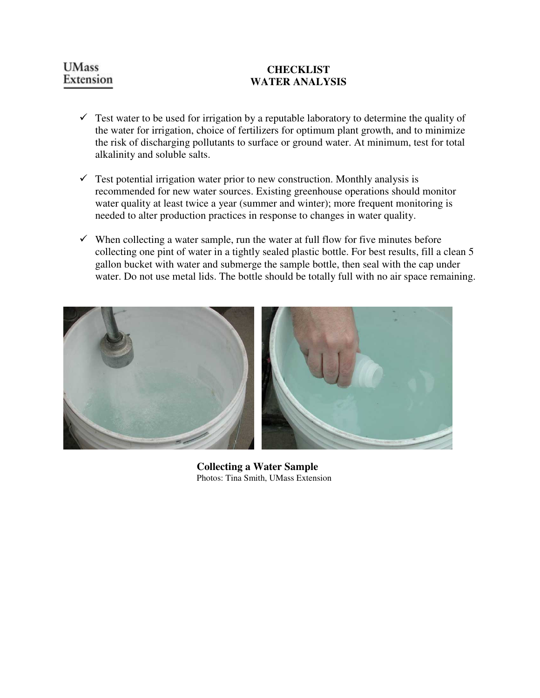# **UMass** Extension

# **CHECKLIST WATER ANALYSIS**

- $\checkmark$  Test water to be used for irrigation by a reputable laboratory to determine the quality of the water for irrigation, choice of fertilizers for optimum plant growth, and to minimize the risk of discharging pollutants to surface or ground water. At minimum, test for total alkalinity and soluble salts.
- $\checkmark$  Test potential irrigation water prior to new construction. Monthly analysis is recommended for new water sources. Existing greenhouse operations should monitor water quality at least twice a year (summer and winter); more frequent monitoring is needed to alter production practices in response to changes in water quality.
- $\checkmark$  When collecting a water sample, run the water at full flow for five minutes before collecting one pint of water in a tightly sealed plastic bottle. For best results, fill a clean 5 gallon bucket with water and submerge the sample bottle, then seal with the cap under water. Do not use metal lids. The bottle should be totally full with no air space remaining.



**Collecting a Water Sample**  Photos: Tina Smith, UMass Extension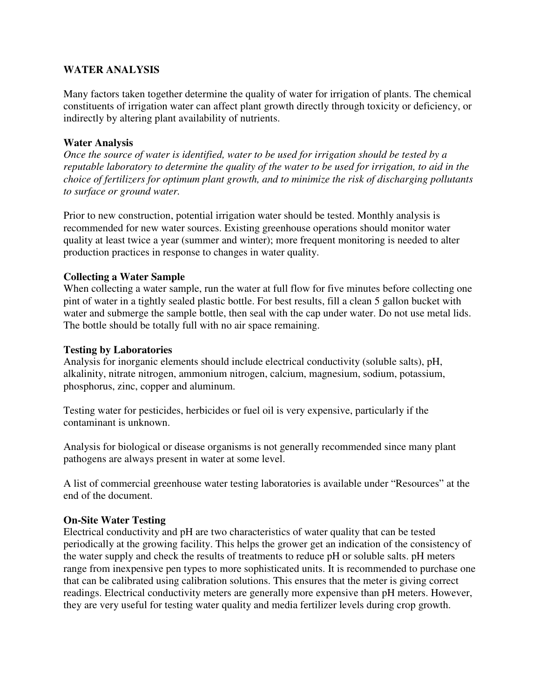# **WATER ANALYSIS**

Many factors taken together determine the quality of water for irrigation of plants. The chemical constituents of irrigation water can affect plant growth directly through toxicity or deficiency, or indirectly by altering plant availability of nutrients.

## **Water Analysis**

*Once the source of water is identified, water to be used for irrigation should be tested by a reputable laboratory to determine the quality of the water to be used for irrigation, to aid in the choice of fertilizers for optimum plant growth, and to minimize the risk of discharging pollutants to surface or ground water.* 

Prior to new construction, potential irrigation water should be tested. Monthly analysis is recommended for new water sources. Existing greenhouse operations should monitor water quality at least twice a year (summer and winter); more frequent monitoring is needed to alter production practices in response to changes in water quality.

# **Collecting a Water Sample**

When collecting a water sample, run the water at full flow for five minutes before collecting one pint of water in a tightly sealed plastic bottle. For best results, fill a clean 5 gallon bucket with water and submerge the sample bottle, then seal with the cap under water. Do not use metal lids. The bottle should be totally full with no air space remaining.

### **Testing by Laboratories**

Analysis for inorganic elements should include electrical conductivity (soluble salts), pH, alkalinity, nitrate nitrogen, ammonium nitrogen, calcium, magnesium, sodium, potassium, phosphorus, zinc, copper and aluminum.

Testing water for pesticides, herbicides or fuel oil is very expensive, particularly if the contaminant is unknown.

Analysis for biological or disease organisms is not generally recommended since many plant pathogens are always present in water at some level.

A list of commercial greenhouse water testing laboratories is available under "Resources" at the end of the document.

### **On-Site Water Testing**

Electrical conductivity and pH are two characteristics of water quality that can be tested periodically at the growing facility. This helps the grower get an indication of the consistency of the water supply and check the results of treatments to reduce pH or soluble salts. pH meters range from inexpensive pen types to more sophisticated units. It is recommended to purchase one that can be calibrated using calibration solutions. This ensures that the meter is giving correct readings. Electrical conductivity meters are generally more expensive than pH meters. However, they are very useful for testing water quality and media fertilizer levels during crop growth.